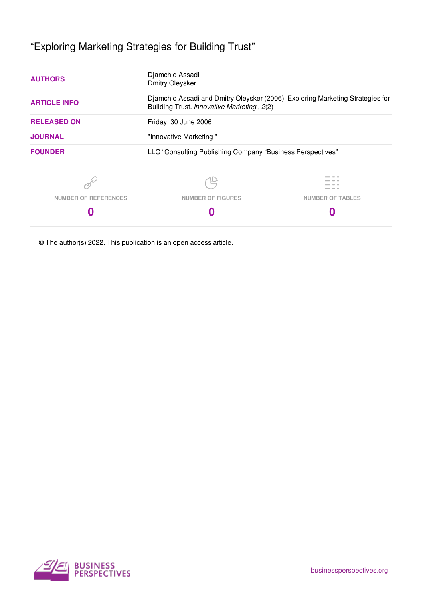# "Exploring Marketing Strategies for Building Trust"

| <b>AUTHORS</b>              | Djamchid Assadi<br><b>Dmitry Oleysker</b>                                                                                    |                         |  |
|-----------------------------|------------------------------------------------------------------------------------------------------------------------------|-------------------------|--|
| <b>ARTICLE INFO</b>         | Djamchid Assadi and Dmitry Oleysker (2006). Exploring Marketing Strategies for<br>Building Trust. Innovative Marketing, 2(2) |                         |  |
| <b>RELEASED ON</b>          | Friday, 30 June 2006                                                                                                         |                         |  |
| <b>JOURNAL</b>              | "Innovative Marketing"                                                                                                       |                         |  |
| <b>FOUNDER</b>              | LLC "Consulting Publishing Company "Business Perspectives"                                                                   |                         |  |
|                             |                                                                                                                              |                         |  |
| <b>NUMBER OF REFERENCES</b> | <b>NUMBER OF FIGURES</b>                                                                                                     | <b>NUMBER OF TABLES</b> |  |
| 0                           |                                                                                                                              |                         |  |

© The author(s) 2022. This publication is an open access article.

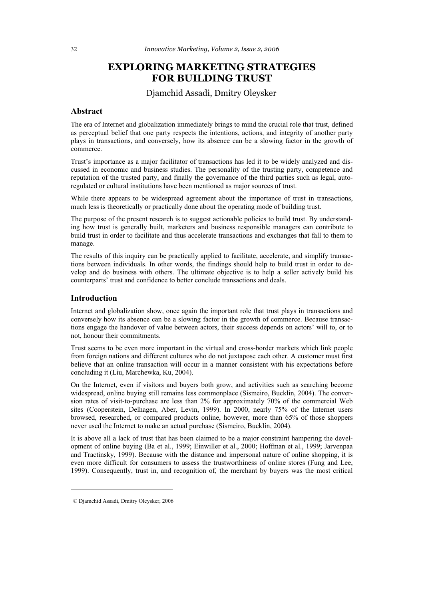## **EXPLORING MARKETING STRATEGIES FOR BUILDING TRUST**

#### Djamchid Assadi, Dmitry Oleysker

#### **Abstract**

The era of Internet and globalization immediately brings to mind the crucial role that trust, defined as perceptual belief that one party respects the intentions, actions, and integrity of another party plays in transactions, and conversely, how its absence can be a slowing factor in the growth of commerce.

Trust's importance as a major facilitator of transactions has led it to be widely analyzed and discussed in economic and business studies. The personality of the trusting party, competence and reputation of the trusted party, and finally the governance of the third parties such as legal, autoregulated or cultural institutions have been mentioned as major sources of trust.

While there appears to be widespread agreement about the importance of trust in transactions, much less is theoretically or practically done about the operating mode of building trust.

The purpose of the present research is to suggest actionable policies to build trust. By understanding how trust is generally built, marketers and business responsible managers can contribute to build trust in order to facilitate and thus accelerate transactions and exchanges that fall to them to manage.

The results of this inquiry can be practically applied to facilitate, accelerate, and simplify transactions between individuals. In other words, the findings should help to build trust in order to develop and do business with others. The ultimate objective is to help a seller actively build his counterparts' trust and confidence to better conclude transactions and deals.

#### **Introduction**

Internet and globalization show, once again the important role that trust plays in transactions and conversely how its absence can be a slowing factor in the growth of commerce. Because transactions engage the handover of value between actors, their success depends on actors' will to, or to not, honour their commitments.

Trust seems to be even more important in the virtual and cross-border markets which link people from foreign nations and different cultures who do not juxtapose each other. A customer must first believe that an online transaction will occur in a manner consistent with his expectations before concluding it (Liu, Marchewka, Ku, 2004).

On the Internet, even if visitors and buyers both grow, and activities such as searching become widespread, online buying still remains less commonplace (Sismeiro, Bucklin, 2004). The conversion rates of visit-to-purchase are less than 2% for approximately 70% of the commercial Web sites (Cooperstein, Delhagen, Aber, Levin, 1999). In 2000, nearly 75% of the Internet users browsed, researched, or compared products online, however, more than 65% of those shoppers never used the Internet to make an actual purchase (Sismeiro, Bucklin, 2004).

It is above all a lack of trust that has been claimed to be a major constraint hampering the development of online buying (Ba et al., 1999; Einwiller et al., 2000; Hoffman et al., 1999; Jarvenpaa and Tractinsky, 1999). Because with the distance and impersonal nature of online shopping, it is even more difficult for consumers to assess the trustworthiness of online stores (Fung and Lee, 1999). Consequently, trust in, and recognition of, the merchant by buyers was the most critical

 $\overline{a}$ 

 <sup>©</sup> Djamchid Assadi, Dmitry Oleysker, 2006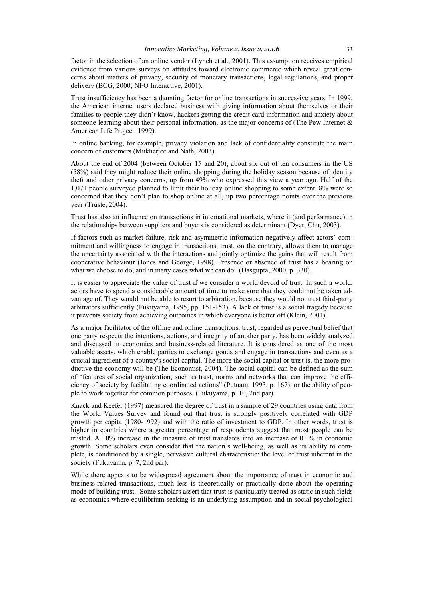factor in the selection of an online vendor (Lynch et al., 2001). This assumption receives empirical evidence from various surveys on attitudes toward electronic commerce which reveal great concerns about matters of privacy, security of monetary transactions, legal regulations, and proper delivery (BCG, 2000; NFO Interactive, 2001).

Trust insufficiency has been a daunting factor for online transactions in successive years. In 1999, the American internet users declared business with giving information about themselves or their families to people they didn't know, hackers getting the credit card information and anxiety about someone learning about their personal information, as the major concerns of (The Pew Internet  $\&$ American Life Project, 1999).

In online banking, for example, privacy violation and lack of confidentiality constitute the main concern of customers (Mukherjee and Nath, 2003).

About the end of 2004 (between October 15 and 20), about six out of ten consumers in the US (58%) said they might reduce their online shopping during the holiday season because of identity theft and other privacy concerns, up from 49% who expressed this view a year ago. Half of the 1,071 people surveyed planned to limit their holiday online shopping to some extent. 8% were so concerned that they don't plan to shop online at all, up two percentage points over the previous year (Truste, 2004).

Trust has also an influence on transactions in international markets, where it (and performance) in the relationships between suppliers and buyers is considered as determinant (Dyer, Chu, 2003).

If factors such as market failure, risk and asymmetric information negatively affect actors' commitment and willingness to engage in transactions, trust, on the contrary, allows them to manage the uncertainty associated with the interactions and jointly optimize the gains that will result from cooperative behaviour (Jones and George, 1998). Presence or absence of trust has a bearing on what we choose to do, and in many cases what we can do" (Dasgupta, 2000, p. 330).

It is easier to appreciate the value of trust if we consider a world devoid of trust. In such a world, actors have to spend a considerable amount of time to make sure that they could not be taken advantage of. They would not be able to resort to arbitration, because they would not trust third-party arbitrators sufficiently (Fukuyama, 1995, pp. 151-153). A lack of trust is a social tragedy because it prevents society from achieving outcomes in which everyone is better off (Klein, 2001).

As a major facilitator of the offline and online transactions, trust, regarded as perceptual belief that one party respects the intentions, actions, and integrity of another party, has been widely analyzed and discussed in economics and business-related literature. It is considered as one of the most valuable assets, which enable parties to exchange goods and engage in transactions and even as a crucial ingredient of a country's social capital. The more the social capital or trust is, the more productive the economy will be (The Economist, 2004). The social capital can be defined as the sum of "features of social organization, such as trust, norms and networks that can improve the efficiency of society by facilitating coordinated actions" (Putnam, 1993, p. 167), or the ability of people to work together for common purposes. (Fukuyama, p. 10, 2nd par).

Knack and Keefer (1997) measured the degree of trust in a sample of 29 countries using data from the World Values Survey and found out that trust is strongly positively correlated with GDP growth per capita (1980-1992) and with the ratio of investment to GDP. In other words, trust is higher in countries where a greater percentage of respondents suggest that most people can be trusted. A 10% increase in the measure of trust translates into an increase of 0.1% in economic growth. Some scholars even consider that the nation's well-being, as well as its ability to complete, is conditioned by a single, pervasive cultural characteristic: the level of trust inherent in the society (Fukuyama, p. 7, 2nd par).

While there appears to be widespread agreement about the importance of trust in economic and business-related transactions, much less is theoretically or practically done about the operating mode of building trust. Some scholars assert that trust is particularly treated as static in such fields as economics where equilibrium seeking is an underlying assumption and in social psychological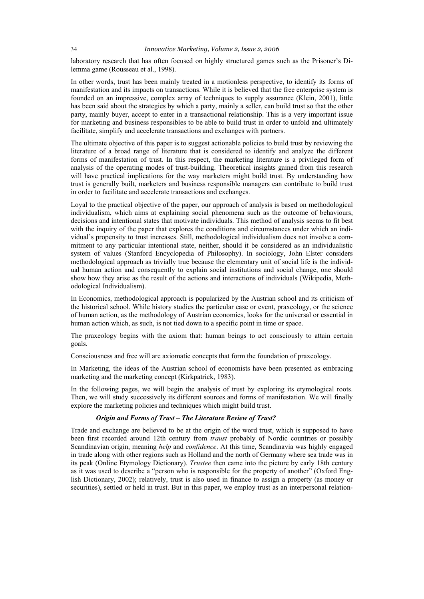laboratory research that has often focused on highly structured games such as the Prisoner's Dilemma game (Rousseau et al., 1998).

In other words, trust has been mainly treated in a motionless perspective, to identify its forms of manifestation and its impacts on transactions. While it is believed that the free enterprise system is founded on an impressive, complex array of techniques to supply assurance (Klein, 2001), little has been said about the strategies by which a party, mainly a seller, can build trust so that the other party, mainly buyer, accept to enter in a transactional relationship. This is a very important issue for marketing and business responsibles to be able to build trust in order to unfold and ultimately facilitate, simplify and accelerate transactions and exchanges with partners.

The ultimate objective of this paper is to suggest actionable policies to build trust by reviewing the literature of a broad range of literature that is considered to identify and analyze the different forms of manifestation of trust. In this respect, the marketing literature is a privileged form of analysis of the operating modes of trust-building. Theoretical insights gained from this research will have practical implications for the way marketers might build trust. By understanding how trust is generally built, marketers and business responsible managers can contribute to build trust in order to facilitate and accelerate transactions and exchanges.

Loyal to the practical objective of the paper, our approach of analysis is based on methodological individualism, which aims at explaining social phenomena such as the outcome of behaviours, decisions and intentional states that motivate individuals. This method of analysis seems to fit best with the inquiry of the paper that explores the conditions and circumstances under which an individual's propensity to trust increases. Still, methodological individualism does not involve a commitment to any particular intentional state, neither, should it be considered as an individualistic system of values (Stanford Encyclopedia of Philosophy). In sociology, John Elster considers methodological approach as trivially true because the elementary unit of social life is the individual human action and consequently to explain social institutions and social change, one should show how they arise as the result of the actions and interactions of individuals (Wikipedia, Methodological Individualism).

In Economics, methodological approach is popularized by the Austrian school and its criticism of the historical school. While history studies the particular case or event, praxeology, or the science of human action, as the methodology of Austrian economics, looks for the universal or essential in human action which, as such, is not tied down to a specific point in time or space.

The praxeology begins with the axiom that: human beings to act consciously to attain certain goals.

Consciousness and free will are axiomatic concepts that form the foundation of praxeology.

In Marketing, the ideas of the Austrian school of economists have been presented as embracing marketing and the marketing concept (Kirkpatrick, 1983).

In the following pages, we will begin the analysis of trust by exploring its etymological roots. Then, we will study successively its different sources and forms of manifestation. We will finally explore the marketing policies and techniques which might build trust.

#### *Origin and Forms of Trust – The Literature Review of Trust?*

Trade and exchange are believed to be at the origin of the word trust, which is supposed to have been first recorded around 12th century from *traust* probably of Nordic countries or possibly Scandinavian origin, meaning *help* and *confidence*. At this time, Scandinavia was highly engaged in trade along with other regions such as Holland and the north of Germany where sea trade was in its peak (Online Etymology Dictionary). *Trustee* then came into the picture by early 18th century as it was used to describe a "person who is responsible for the property of another" (Oxford English Dictionary, 2002); relatively, trust is also used in finance to assign a property (as money or securities), settled or held in trust. But in this paper, we employ trust as an interpersonal relation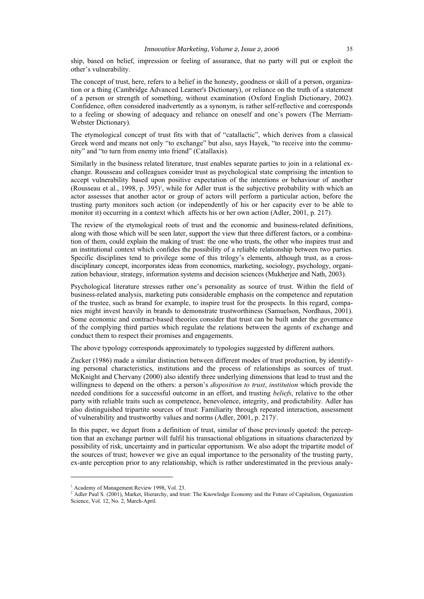ship, based on belief, impression or feeling of assurance, that no party will put or exploit the other's vulnerability.

The concept of trust, here, refers to a belief in the honesty, goodness or skill of a person, organization or a thing (Cambridge Advanced Learner's Dictionary), or reliance on the truth of a statement of a person or strength of something, without examination (Oxford English Dictionary, 2002). Confidence, often considered inadvertently as a synonym, is rather self-reflective and corresponds to a feeling or showing of adequacy and reliance on oneself and one's powers (The Merriam-Webster Dictionary).

The etymological concept of trust fits with that of "catallactic", which derives from a classical Greek word and means not only "to exchange" but also, says Hayek, "to receive into the community" and "to turn from enemy into friend" (Catallaxis).

Similarly in the business related literature, trust enables separate parties to join in a relational exchange. Rousseau and colleagues consider trust as psychological state comprising the intention to accept vulnerability based upon positive expectation of the intentions or behaviour of another (Rousseau et al., 1998, p. 395)<sup> $\cdot$ </sup>, while for Adler trust is the subjective probability with which an actor assesses that another actor or group of actors will perform a particular action, before the trusting party monitors such action (or independently of his or her capacity ever to be able to monitor it) occurring in a context which affects his or her own action (Adler, 2001, p. 217).

The review of the etymological roots of trust and the economic and business-related definitions, along with those which will be seen later, support the view that three different factors, or a combination of them, could explain the making of trust: the one who trusts, the other who inspires trust and an institutional context which confides the possibility of a reliable relationship between two parties. Specific disciplines tend to privilege some of this trilogy's elements, although trust, as a crossdisciplinary concept, incorporates ideas from economics, marketing, sociology, psychology, organization behaviour, strategy, information systems and decision sciences (Mukherjee and Nath, 2003).

Psychological literature stresses rather one's personality as source of trust. Within the field of business-related analysis, marketing puts considerable emphasis on the competence and reputation of the trustee, such as brand for example, to inspire trust for the prospects. In this regard, companies might invest heavily in brands to demonstrate trustworthiness (Samuelson, Nordhaus, 2001). Some economic and contract-based theories consider that trust can be built under the governance of the complying third parties which regulate the relations between the agents of exchange and conduct them to respect their promises and engagements.

The above typology corresponds approximately to typologies suggested by different authors.

Zucker (1986) made a similar distinction between different modes of trust production, by identifying personal characteristics, institutions and the process of relationships as sources of trust. McKnight and Chervany (2000) also identify three underlying dimensions that lead to trust and the willingness to depend on the others: a person's *disposition to trust*, *institution* which provide the needed conditions for a successful outcome in an effort, and trusting *beliefs*, relative to the other party with reliable traits such as competence, benevolence, integrity, and predictability. Adler has also distinguished tripartite sources of trust: Familiarity through repeated interaction, assessment of vulnerability and trustworthy values and norms (Adler, 2001, p. 217)<sup>2</sup>.

In this paper, we depart from a definition of trust, similar of those previously quoted: the perception that an exchange partner will fulfil his transactional obligations in situations characterized by possibility of risk, uncertainty and in particular opportunism. We also adopt the tripartite model of the sources of trust; however we give an equal importance to the personality of the trusting party, ex-ante perception prior to any relationship, which is rather underestimated in the previous analy-

 $\overline{a}$ 

<sup>&</sup>lt;sup>1</sup> Academy of Management Review 1998, Vol. 23.

<sup>&</sup>lt;sup>2</sup> Adler Paul S. (2001), Market, Hierarchy, and trust: The Knowledge Economy and the Future of Capitalism, Organization Science, Vol. 12, No. 2, March-April.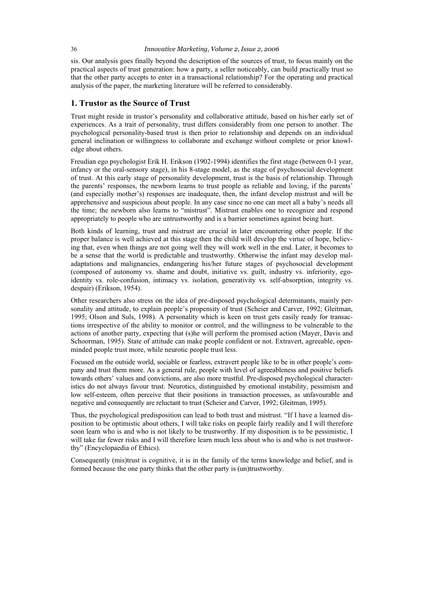#### 36 *Innovative Marketing, Volume 2, Issue 2, 2006*

sis. Our analysis goes finally beyond the description of the sources of trust, to focus mainly on the practical aspects of trust generation: how a party, a seller noticeably, can build practically trust so that the other party accepts to enter in a transactional relationship? For the operating and practical analysis of the paper, the marketing literature will be referred to considerably.

#### **1. Trustor as the Source of Trust**

Trust might reside in trustor's personality and collaborative attitude, based on his/her early set of experiences. As a trait of personality, trust differs considerably from one person to another. The psychological personality-based trust is then prior to relationship and depends on an individual general inclination or willingness to collaborate and exchange without complete or prior knowledge about others.

Freudian ego psychologist Erik H. Erikson (1902-1994) identifies the first stage (between 0-1 year, infancy or the oral-sensory stage), in his 8-stage model, as the stage of psychosocial development of trust. At this early stage of personality development, trust is the basis of relationship. Through the parents' responses, the newborn learns to trust people as reliable and loving, if the parents' (and especially mother's) responses are inadequate, then, the infant develop mistrust and will be apprehensive and suspicious about people. In any case since no one can meet all a baby's needs all the time; the newborn also learns to "mistrust". Mistrust enables one to recognize and respond appropriately to people who are untrustworthy and is a barrier sometimes against being hurt.

Both kinds of learning, trust and mistrust are crucial in later encountering other people. If the proper balance is well achieved at this stage then the child will develop the virtue of hope, believing that, even when things are not going well they will work well in the end. Later, it becomes to be a sense that the world is predictable and trustworthy. Otherwise the infant may develop maladaptations and malignancies, endangering his/her future stages of psychosocial development (composed of autonomy vs. shame and doubt, initiative vs. guilt, industry vs. inferiority, egoidentity vs. role-confusion, intimacy vs. isolation, generativity vs. self-absorption, integrity vs. despair) (Erikson, 1954).

Other researchers also stress on the idea of pre-disposed psychological determinants, mainly personality and attitude, to explain people's propensity of trust (Scheier and Carver, 1992; Gleitman, 1995; Olson and Suls, 1998). A personality which is keen on trust gets easily ready for transactions irrespective of the ability to monitor or control, and the willingness to be vulnerable to the actions of another party, expecting that (s)he will perform the promised action (Mayer, Davis and Schoorman, 1995). State of attitude can make people confident or not. Extravert, agreeable, openminded people trust more, while neurotic people trust less.

Focused on the outside world, sociable or fearless, extravert people like to be in other people's company and trust them more. As a general rule, people with level of agreeableness and positive beliefs towards others' values and convictions, are also more trustful. Pre-disposed psychological characteristics do not always favour trust. Neurotics, distinguished by emotional instability, pessimism and low self-esteem, often perceive that their positions in transaction processes, as unfavourable and negative and consequently are reluctant to trust (Scheier and Carver, 1992; Gleitman, 1995).

Thus, the psychological predisposition can lead to both trust and mistrust. "If I have a learned disposition to be optimistic about others, I will take risks on people fairly readily and I will therefore soon learn who is and who is not likely to be trustworthy. If my disposition is to be pessimistic, I will take far fewer risks and I will therefore learn much less about who is and who is not trustworthy" (Encyclopaedia of Ethics).

Consequently (mis)trust is cognitive, it is in the family of the terms knowledge and belief, and is formed because the one party thinks that the other party is (un)trustworthy.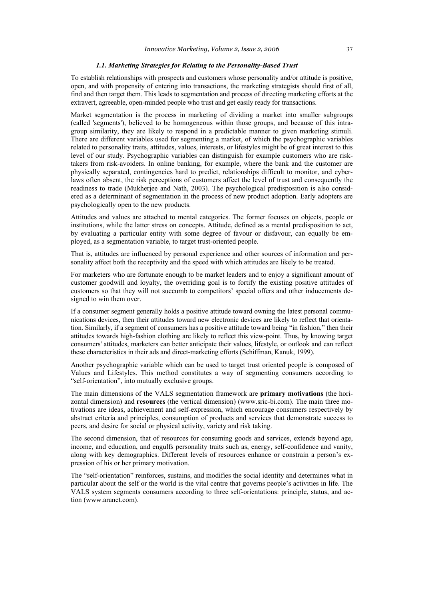#### *1.1. Marketing Strategies for Relating to the Personality-Based Trust*

To establish relationships with prospects and customers whose personality and/or attitude is positive, open, and with propensity of entering into transactions, the marketing strategists should first of all, find and then target them. This leads to segmentation and process of directing marketing efforts at the extravert, agreeable, open-minded people who trust and get easily ready for transactions.

Market segmentation is the process in marketing of dividing a market into smaller subgroups (called 'segments'), believed to be homogeneous within those groups, and because of this intragroup similarity, they are likely to respond in a predictable manner to given marketing stimuli. There are different variables used for segmenting a market, of which the psychographic variables related to personality traits, attitudes, values, interests, or lifestyles might be of great interest to this level of our study. Psychographic variables can distinguish for example customers who are risktakers from risk-avoiders. In online banking, for example, where the bank and the customer are physically separated, contingencies hard to predict, relationships difficult to monitor, and cyberlaws often absent, the risk perceptions of customers affect the level of trust and consequently the readiness to trade (Mukherjee and Nath, 2003). The psychological predisposition is also considered as a determinant of segmentation in the process of new product adoption. Early adopters are psychologically open to the new products.

Attitudes and values are attached to mental categories. The former focuses on objects, people or institutions, while the latter stress on concepts. Attitude, defined as a mental predisposition to act, by evaluating a particular entity with some degree of favour or disfavour, can equally be employed, as a segmentation variable, to target trust-oriented people.

That is, attitudes are influenced by personal experience and other sources of information and personality affect both the receptivity and the speed with which attitudes are likely to be treated.

For marketers who are fortunate enough to be market leaders and to enjoy a significant amount of customer goodwill and loyalty, the overriding goal is to fortify the existing positive attitudes of customers so that they will not succumb to competitors' special offers and other inducements designed to win them over.

If a consumer segment generally holds a positive attitude toward owning the latest personal communications devices, then their attitudes toward new electronic devices are likely to reflect that orientation. Similarly, if a segment of consumers has a positive attitude toward being "in fashion," then their attitudes towards high-fashion clothing are likely to reflect this view-point. Thus, by knowing target consumers' attitudes, marketers can better anticipate their values, lifestyle, or outlook and can reflect these characteristics in their ads and direct-marketing efforts (Schiffman, Kanuk, 1999).

Another psychographic variable which can be used to target trust oriented people is composed of Values and Lifestyles. This method constitutes a way of segmenting consumers according to "self-orientation", into mutually exclusive groups.

The main dimensions of the VALS segmentation framework are **primary motivations** (the horizontal dimension) and **resources** (the vertical dimension) (www.sric-bi.com). The main three motivations are ideas, achievement and self-expression, which encourage consumers respectively by abstract criteria and principles, consumption of products and services that demonstrate success to peers, and desire for social or physical activity, variety and risk taking.

The second dimension, that of resources for consuming goods and services, extends beyond age, income, and education, and engulfs personality traits such as, energy, self-confidence and vanity, along with key demographics. Different levels of resources enhance or constrain a person's expression of his or her primary motivation.

The "self-orientation" reinforces, sustains, and modifies the social identity and determines what in particular about the self or the world is the vital centre that governs people's activities in life. The VALS system segments consumers according to three self-orientations: principle, status, and action (www.aranet.com).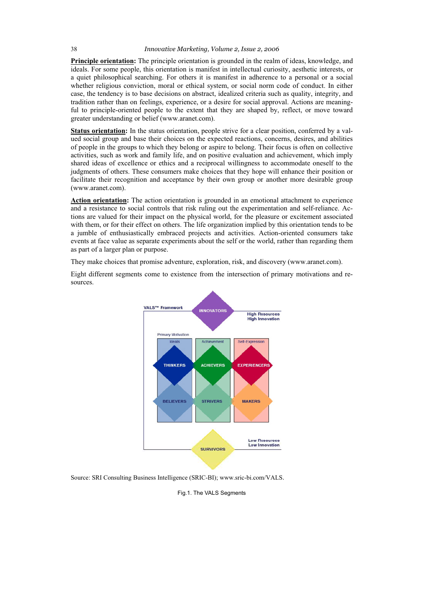#### 38 *Innovative Marketing, Volume 2, Issue 2, 2006*

**Principle orientation:** The principle orientation is grounded in the realm of ideas, knowledge, and ideals. For some people, this orientation is manifest in intellectual curiosity, aesthetic interests, or a quiet philosophical searching. For others it is manifest in adherence to a personal or a social whether religious conviction, moral or ethical system, or social norm code of conduct. In either case, the tendency is to base decisions on abstract, idealized criteria such as quality, integrity, and tradition rather than on feelings, experience, or a desire for social approval. Actions are meaningful to principle-oriented people to the extent that they are shaped by, reflect, or move toward greater understanding or belief (www.aranet.com).

**Status orientation:** In the status orientation, people strive for a clear position, conferred by a valued social group and base their choices on the expected reactions, concerns, desires, and abilities of people in the groups to which they belong or aspire to belong. Their focus is often on collective activities, such as work and family life, and on positive evaluation and achievement, which imply shared ideas of excellence or ethics and a reciprocal willingness to accommodate oneself to the judgments of others. These consumers make choices that they hope will enhance their position or facilitate their recognition and acceptance by their own group or another more desirable group (www.aranet.com).

**Action orientation:** The action orientation is grounded in an emotional attachment to experience and a resistance to social controls that risk ruling out the experimentation and self-reliance. Actions are valued for their impact on the physical world, for the pleasure or excitement associated with them, or for their effect on others. The life organization implied by this orientation tends to be a jumble of enthusiastically embraced projects and activities. Action-oriented consumers take events at face value as separate experiments about the self or the world, rather than regarding them as part of a larger plan or purpose.

They make choices that promise adventure, exploration, risk, and discovery (www.aranet.com).

Eight different segments come to existence from the intersection of primary motivations and resources.



Source: SRI Consulting Business Intelligence (SRIC-BI); www.sric-bi.com/VALS.

Fig.1. The VALS Segments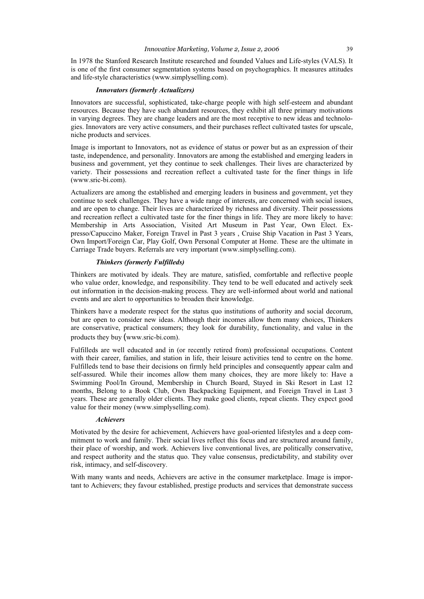#### *Innovative Marketing, Volume 2, Issue 2, 2006* 39

In 1978 the Stanford Research Institute researched and founded Values and Life-styles (VALS). It is one of the first consumer segmentation systems based on psychographics. It measures attitudes and life-style characteristics (www.simplyselling.com).

#### *Innovators (formerly Actualizers)*

Innovators are successful, sophisticated, take-charge people with high self-esteem and abundant resources. Because they have such abundant resources, they exhibit all three primary motivations in varying degrees. They are change leaders and are the most receptive to new ideas and technologies. Innovators are very active consumers, and their purchases reflect cultivated tastes for upscale, niche products and services.

Image is important to Innovators, not as evidence of status or power but as an expression of their taste, independence, and personality. Innovators are among the established and emerging leaders in business and government, yet they continue to seek challenges. Their lives are characterized by variety. Their possessions and recreation reflect a cultivated taste for the finer things in life (www.sric-bi.com).

Actualizers are among the established and emerging leaders in business and government, yet they continue to seek challenges. They have a wide range of interests, are concerned with social issues, and are open to change. Their lives are characterized by richness and diversity. Their possessions and recreation reflect a cultivated taste for the finer things in life. They are more likely to have: Membership in Arts Association, Visited Art Museum in Past Year, Own Elect. Expresso/Capuccino Maker, Foreign Travel in Past 3 years , Cruise Ship Vacation in Past 3 Years, Own Import/Foreign Car, Play Golf, Own Personal Computer at Home. These are the ultimate in Carriage Trade buyers. Referrals are very important (www.simplyselling.com).

#### *Thinkers (formerly Fulfilleds)*

Thinkers are motivated by ideals. They are mature, satisfied, comfortable and reflective people who value order, knowledge, and responsibility. They tend to be well educated and actively seek out information in the decision-making process. They are well-informed about world and national events and are alert to opportunities to broaden their knowledge.

Thinkers have a moderate respect for the status quo institutions of authority and social decorum, but are open to consider new ideas. Although their incomes allow them many choices, Thinkers are conservative, practical consumers; they look for durability, functionality, and value in the products they buy (www.sric-bi.com).

Fulfilleds are well educated and in (or recently retired from) professional occupations. Content with their career, families, and station in life, their leisure activities tend to centre on the home. Fulfilleds tend to base their decisions on firmly held principles and consequently appear calm and self-assured. While their incomes allow them many choices, they are more likely to: Have a Swimming Pool/In Ground, Membership in Church Board, Stayed in Ski Resort in Last 12 months, Belong to a Book Club, Own Backpacking Equipment, and Foreign Travel in Last 3 years. These are generally older clients. They make good clients, repeat clients. They expect good value for their money (www.simplyselling.com).

#### *Achievers*

Motivated by the desire for achievement, Achievers have goal-oriented lifestyles and a deep commitment to work and family. Their social lives reflect this focus and are structured around family, their place of worship, and work. Achievers live conventional lives, are politically conservative, and respect authority and the status quo. They value consensus, predictability, and stability over risk, intimacy, and self-discovery.

With many wants and needs, Achievers are active in the consumer marketplace. Image is important to Achievers; they favour established, prestige products and services that demonstrate success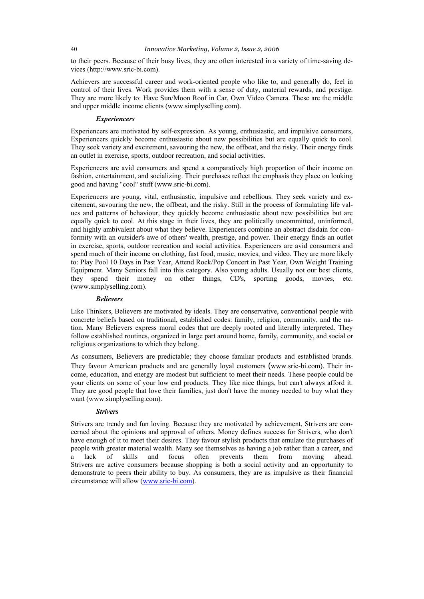to their peers. Because of their busy lives, they are often interested in a variety of time-saving devices (http://www.sric-bi.com).

Achievers are successful career and work-oriented people who like to, and generally do, feel in control of their lives. Work provides them with a sense of duty, material rewards, and prestige. They are more likely to: Have Sun/Moon Roof in Car, Own Video Camera. These are the middle and upper middle income clients (www.simplyselling.com).

#### *Experiencers*

Experiencers are motivated by self-expression. As young, enthusiastic, and impulsive consumers, Experiencers quickly become enthusiastic about new possibilities but are equally quick to cool. They seek variety and excitement, savouring the new, the offbeat, and the risky. Their energy finds an outlet in exercise, sports, outdoor recreation, and social activities.

Experiencers are avid consumers and spend a comparatively high proportion of their income on fashion, entertainment, and socializing. Their purchases reflect the emphasis they place on looking good and having "cool" stuff (www.sric-bi.com).

Experiencers are young, vital, enthusiastic, impulsive and rebellious. They seek variety and excitement, savouring the new, the offbeat, and the risky. Still in the process of formulating life values and patterns of behaviour, they quickly become enthusiastic about new possibilities but are equally quick to cool. At this stage in their lives, they are politically uncommitted, uninformed, and highly ambivalent about what they believe. Experiencers combine an abstract disdain for conformity with an outsider's awe of others' wealth, prestige, and power. Their energy finds an outlet in exercise, sports, outdoor recreation and social activities. Experiencers are avid consumers and spend much of their income on clothing, fast food, music, movies, and video. They are more likely to: Play Pool 10 Days in Past Year, Attend Rock/Pop Concert in Past Year, Own Weight Training Equipment. Many Seniors fall into this category. Also young adults. Usually not our best clients, they spend their money on other things, CD's, sporting goods, movies, etc. (www.simplyselling.com).

#### *Believers*

Like Thinkers, Believers are motivated by ideals. They are conservative, conventional people with concrete beliefs based on traditional, established codes: family, religion, community, and the nation. Many Believers express moral codes that are deeply rooted and literally interpreted. They follow established routines, organized in large part around home, family, community, and social or religious organizations to which they belong.

As consumers, Believers are predictable; they choose familiar products and established brands. They favour American products and are generally loyal customers (www.sric-bi.com). Their income, education, and energy are modest but sufficient to meet their needs. These people could be your clients on some of your low end products. They like nice things, but can't always afford it. They are good people that love their families, just don't have the money needed to buy what they want (www.simplyselling.com).

#### *Strivers*

Strivers are trendy and fun loving. Because they are motivated by achievement, Strivers are concerned about the opinions and approval of others. Money defines success for Strivers, who don't have enough of it to meet their desires. They favour stylish products that emulate the purchases of people with greater material wealth. Many see themselves as having a job rather than a career, and<br>a lack of skills and focus often prevents them from moving ahead. a lack of skills and focus often prevents them from moving ahead. Strivers are active consumers because shopping is both a social activity and an opportunity to demonstrate to peers their ability to buy. As consumers, they are as impulsive as their financial circumstance will allow (www.sric-bi.com).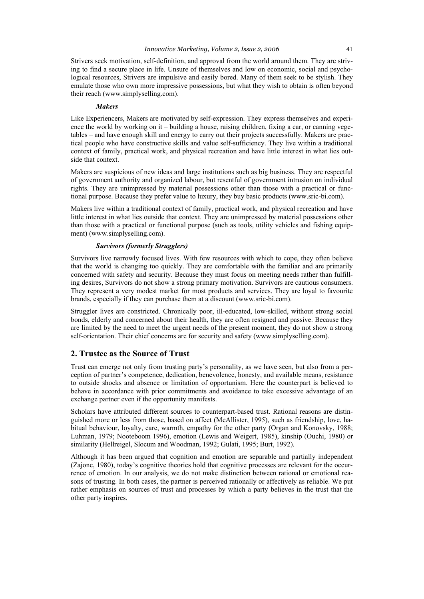Strivers seek motivation, self-definition, and approval from the world around them. They are striving to find a secure place in life. Unsure of themselves and low on economic, social and psychological resources, Strivers are impulsive and easily bored. Many of them seek to be stylish. They emulate those who own more impressive possessions, but what they wish to obtain is often beyond their reach (www.simplyselling.com).

#### *Makers*

Like Experiencers, Makers are motivated by self-expression. They express themselves and experience the world by working on it – building a house, raising children, fixing a car, or canning vegetables – and have enough skill and energy to carry out their projects successfully. Makers are practical people who have constructive skills and value self-sufficiency. They live within a traditional context of family, practical work, and physical recreation and have little interest in what lies outside that context.

Makers are suspicious of new ideas and large institutions such as big business. They are respectful of government authority and organized labour, but resentful of government intrusion on individual rights. They are unimpressed by material possessions other than those with a practical or functional purpose. Because they prefer value to luxury, they buy basic products (www.sric-bi.com).

Makers live within a traditional context of family, practical work, and physical recreation and have little interest in what lies outside that context. They are unimpressed by material possessions other than those with a practical or functional purpose (such as tools, utility vehicles and fishing equipment) (www.simplyselling.com).

#### *Survivors (formerly Strugglers)*

Survivors live narrowly focused lives. With few resources with which to cope, they often believe that the world is changing too quickly. They are comfortable with the familiar and are primarily concerned with safety and security. Because they must focus on meeting needs rather than fulfilling desires, Survivors do not show a strong primary motivation. Survivors are cautious consumers. They represent a very modest market for most products and services. They are loyal to favourite brands, especially if they can purchase them at a discount (www.sric-bi.com).

Struggler lives are constricted. Chronically poor, ill-educated, low-skilled, without strong social bonds, elderly and concerned about their health, they are often resigned and passive. Because they are limited by the need to meet the urgent needs of the present moment, they do not show a strong self-orientation. Their chief concerns are for security and safety (www.simplyselling.com).

### **2. Trustee as the Source of Trust**

Trust can emerge not only from trusting party's personality, as we have seen, but also from a perception of partner's competence, dedication, benevolence, honesty, and available means, resistance to outside shocks and absence or limitation of opportunism. Here the counterpart is believed to behave in accordance with prior commitments and avoidance to take excessive advantage of an exchange partner even if the opportunity manifests.

Scholars have attributed different sources to counterpart-based trust. Rational reasons are distinguished more or less from those, based on affect (McAllister, 1995), such as friendship, love, habitual behaviour, loyalty, care, warmth, empathy for the other party (Organ and Konovsky, 1988; Luhman, 1979; Nooteboom 1996), emotion (Lewis and Weigert, 1985), kinship (Ouchi, 1980) or similarity (Hellreigel, Slocum and Woodman, 1992; Gulati, 1995; Burt, 1992).

Although it has been argued that cognition and emotion are separable and partially independent (Zajonc, 1980), today's cognitive theories hold that cognitive processes are relevant for the occurrence of emotion. In our analysis, we do not make distinction between rational or emotional reasons of trusting. In both cases, the partner is perceived rationally or affectively as reliable. We put rather emphasis on sources of trust and processes by which a party believes in the trust that the other party inspires.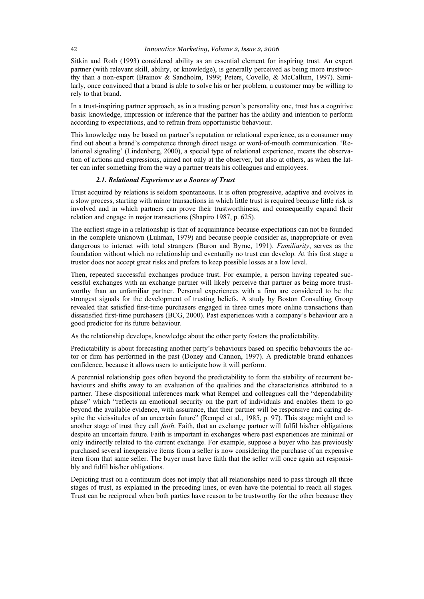Sitkin and Roth (1993) considered ability as an essential element for inspiring trust. An expert partner (with relevant skill, ability, or knowledge), is generally perceived as being more trustworthy than a non-expert (Brainov & Sandholm, 1999; Peters, Covello, & McCallum, 1997). Similarly, once convinced that a brand is able to solve his or her problem, a customer may be willing to rely to that brand.

In a trust-inspiring partner approach, as in a trusting person's personality one, trust has a cognitive basis: knowledge, impression or inference that the partner has the ability and intention to perform according to expectations, and to refrain from opportunistic behaviour.

This knowledge may be based on partner's reputation or relational experience, as a consumer may find out about a brand's competence through direct usage or word-of-mouth communication. 'Relational signaling' (Lindenberg, 2000), a special type of relational experience, means the observation of actions and expressions, aimed not only at the observer, but also at others, as when the latter can infer something from the way a partner treats his colleagues and employees.

#### *2.1. Relational Experience as a Source of Trust*

Trust acquired by relations is seldom spontaneous. It is often progressive, adaptive and evolves in a slow process, starting with minor transactions in which little trust is required because little risk is involved and in which partners can prove their trustworthiness, and consequently expand their relation and engage in major transactions (Shapiro 1987, p. 625).

The earliest stage in a relationship is that of acquaintance because expectations can not be founded in the complete unknown (Luhman, 1979) and because people consider as, inappropriate or even dangerous to interact with total strangers (Baron and Byrne, 1991). *Familiarity*, serves as the foundation without which no relationship and eventually no trust can develop. At this first stage a trustor does not accept great risks and prefers to keep possible losses at a low level.

Then, repeated successful exchanges produce trust. For example, a person having repeated successful exchanges with an exchange partner will likely perceive that partner as being more trustworthy than an unfamiliar partner. Personal experiences with a firm are considered to be the strongest signals for the development of trusting beliefs. A study by Boston Consulting Group revealed that satisfied first-time purchasers engaged in three times more online transactions than dissatisfied first-time purchasers (BCG, 2000). Past experiences with a company's behaviour are a good predictor for its future behaviour.

As the relationship develops, knowledge about the other party fosters the predictability.

Predictability is about forecasting another party's behaviours based on specific behaviours the actor or firm has performed in the past (Doney and Cannon, 1997). A predictable brand enhances confidence, because it allows users to anticipate how it will perform.

A perennial relationship goes often beyond the predictability to form the stability of recurrent behaviours and shifts away to an evaluation of the qualities and the characteristics attributed to a partner. These dispositional inferences mark what Rempel and colleagues call the "dependability phase" which "reflects an emotional security on the part of individuals and enables them to go beyond the available evidence, with assurance, that their partner will be responsive and caring despite the vicissitudes of an uncertain future" (Rempel et al., 1985, p. 97). This stage might end to another stage of trust they call *faith*. Faith, that an exchange partner will fulfil his/her obligations despite an uncertain future. Faith is important in exchanges where past experiences are minimal or only indirectly related to the current exchange. For example, suppose a buyer who has previously purchased several inexpensive items from a seller is now considering the purchase of an expensive item from that same seller. The buyer must have faith that the seller will once again act responsibly and fulfil his/her obligations.

Depicting trust on a continuum does not imply that all relationships need to pass through all three stages of trust, as explained in the preceding lines, or even have the potential to reach all stages. Trust can be reciprocal when both parties have reason to be trustworthy for the other because they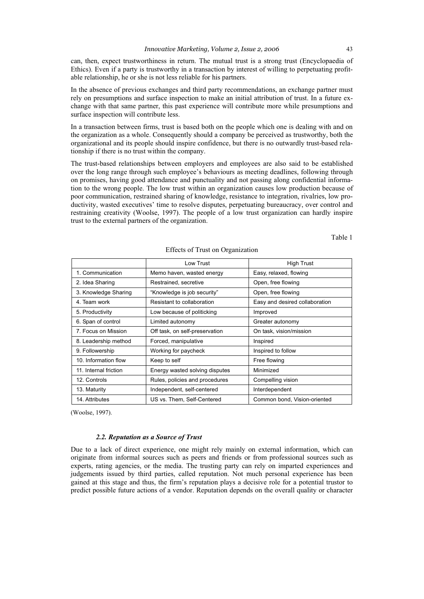can, then, expect trustworthiness in return. The mutual trust is a strong trust (Encyclopaedia of Ethics). Even if a party is trustworthy in a transaction by interest of willing to perpetuating profitable relationship, he or she is not less reliable for his partners.

In the absence of previous exchanges and third party recommendations, an exchange partner must rely on presumptions and surface inspection to make an initial attribution of trust. In a future exchange with that same partner, this past experience will contribute more while presumptions and surface inspection will contribute less.

In a transaction between firms, trust is based both on the people which one is dealing with and on the organization as a whole. Consequently should a company be perceived as trustworthy, both the organizational and its people should inspire confidence, but there is no outwardly trust-based relationship if there is no trust within the company.

The trust-based relationships between employers and employees are also said to be established over the long range through such employee's behaviours as meeting deadlines, following through on promises, having good attendance and punctuality and not passing along confidential information to the wrong people. The low trust within an organization causes low production because of poor communication, restrained sharing of knowledge, resistance to integration, rivalries, low productivity, wasted executives' time to resolve disputes, perpetuating bureaucracy, over control and restraining creativity (Woolse, 1997). The people of a low trust organization can hardly inspire trust to the external partners of the organization.

Table 1

|                       | Low Trust                      | <b>High Trust</b>              |
|-----------------------|--------------------------------|--------------------------------|
| 1. Communication      | Memo haven, wasted energy      | Easy, relaxed, flowing         |
| 2. Idea Sharing       | Restrained, secretive          | Open, free flowing             |
| 3. Knowledge Sharing  | "Knowledge is job security"    | Open, free flowing             |
| 4. Team work          | Resistant to collaboration     | Easy and desired collaboration |
| 5. Productivity       | Low because of politicking     | Improved                       |
| 6. Span of control    | Limited autonomy               | Greater autonomy               |
| 7. Focus on Mission   | Off task, on self-preservation | On task, vision/mission        |
| 8. Leadership method  | Forced, manipulative           | Inspired                       |
| 9. Followership       | Working for paycheck           | Inspired to follow             |
| 10. Information flow  | Keep to self                   | Free flowing                   |
| 11. Internal friction | Energy wasted solving disputes | Minimized                      |
| 12. Controls          | Rules, policies and procedures | Compelling vision              |
| 13. Maturity          | Independent, self-centered     | Interdependent                 |
| 14. Attributes        | US vs. Them, Self-Centered     | Common bond, Vision-oriented   |

#### Effects of Trust on Organization

(Woolse, 1997).

#### *2.2. Reputation as a Source of Trust*

Due to a lack of direct experience, one might rely mainly on external information, which can originate from informal sources such as peers and friends or from professional sources such as experts, rating agencies, or the media. The trusting party can rely on imparted experiences and judgements issued by third parties, called reputation. Not much personal experience has been gained at this stage and thus, the firm's reputation plays a decisive role for a potential trustor to predict possible future actions of a vendor. Reputation depends on the overall quality or character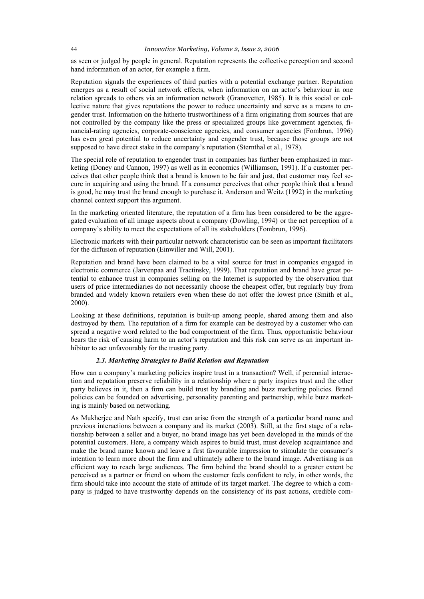as seen or judged by people in general. Reputation represents the collective perception and second hand information of an actor, for example a firm.

Reputation signals the experiences of third parties with a potential exchange partner. Reputation emerges as a result of social network effects, when information on an actor's behaviour in one relation spreads to others via an information network (Granovetter, 1985). It is this social or collective nature that gives reputations the power to reduce uncertainty and serve as a means to engender trust. Information on the hitherto trustworthiness of a firm originating from sources that are not controlled by the company like the press or specialized groups like government agencies, financial-rating agencies, corporate-conscience agencies, and consumer agencies (Fombrun, 1996) has even great potential to reduce uncertainty and engender trust, because those groups are not supposed to have direct stake in the company's reputation (Sternthal et al., 1978).

The special role of reputation to engender trust in companies has further been emphasized in marketing (Doney and Cannon, 1997) as well as in economics (Williamson, 1991). If a customer perceives that other people think that a brand is known to be fair and just, that customer may feel secure in acquiring and using the brand. If a consumer perceives that other people think that a brand is good, he may trust the brand enough to purchase it. Anderson and Weitz (1992) in the marketing channel context support this argument.

In the marketing oriented literature, the reputation of a firm has been considered to be the aggregated evaluation of all image aspects about a company (Dowling, 1994) or the net perception of a company's ability to meet the expectations of all its stakeholders (Fombrun, 1996).

Electronic markets with their particular network characteristic can be seen as important facilitators for the diffusion of reputation (Einwiller and Will, 2001).

Reputation and brand have been claimed to be a vital source for trust in companies engaged in electronic commerce (Jarvenpaa and Tractinsky, 1999). That reputation and brand have great potential to enhance trust in companies selling on the Internet is supported by the observation that users of price intermediaries do not necessarily choose the cheapest offer, but regularly buy from branded and widely known retailers even when these do not offer the lowest price (Smith et al., 2000).

Looking at these definitions, reputation is built-up among people, shared among them and also destroyed by them. The reputation of a firm for example can be destroyed by a customer who can spread a negative word related to the bad comportment of the firm. Thus, opportunistic behaviour bears the risk of causing harm to an actor's reputation and this risk can serve as an important inhibitor to act unfavourably for the trusting party.

#### *2.3. Marketing Strategies to Build Relation and Reputation*

How can a company's marketing policies inspire trust in a transaction? Well, if perennial interaction and reputation preserve reliability in a relationship where a party inspires trust and the other party believes in it, then a firm can build trust by branding and buzz marketing policies. Brand policies can be founded on advertising, personality parenting and partnership, while buzz marketing is mainly based on networking.

As Mukherjee and Nath specify, trust can arise from the strength of a particular brand name and previous interactions between a company and its market (2003). Still, at the first stage of a relationship between a seller and a buyer, no brand image has yet been developed in the minds of the potential customers. Here, a company which aspires to build trust, must develop acquaintance and make the brand name known and leave a first favourable impression to stimulate the consumer's intention to learn more about the firm and ultimately adhere to the brand image. Advertising is an efficient way to reach large audiences. The firm behind the brand should to a greater extent be perceived as a partner or friend on whom the customer feels confident to rely, in other words, the firm should take into account the state of attitude of its target market. The degree to which a company is judged to have trustworthy depends on the consistency of its past actions, credible com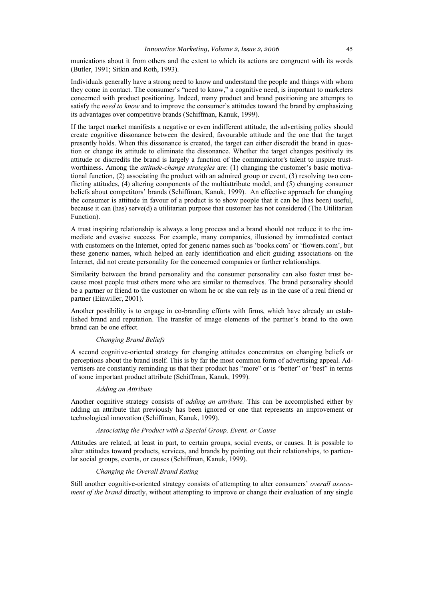munications about it from others and the extent to which its actions are congruent with its words (Butler, 1991; Sitkin and Roth, 1993).

Individuals generally have a strong need to know and understand the people and things with whom they come in contact. The consumer's "need to know," a cognitive need, is important to marketers concerned with product positioning. Indeed, many product and brand positioning are attempts to satisfy the *need to know* and to improve the consumer's attitudes toward the brand by emphasizing its advantages over competitive brands (Schiffman, Kanuk, 1999).

If the target market manifests a negative or even indifferent attitude, the advertising policy should create cognitive dissonance between the desired, favourable attitude and the one that the target presently holds. When this dissonance is created, the target can either discredit the brand in question or change its attitude to eliminate the dissonance. Whether the target changes positively its attitude or discredits the brand is largely a function of the communicator's talent to inspire trustworthiness. Among the *attitude-change strategies* are: (1) changing the customer's basic motivational function, (2) associating the product with an admired group or event, (3) resolving two conflicting attitudes, (4) altering components of the multiattribute model, and (5) changing consumer beliefs about competitors' brands (Schiffman, Kanuk, 1999). An effective approach for changing the consumer is attitude in favour of a product is to show people that it can be (has been) useful, because it can (has) serve(d) a utilitarian purpose that customer has not considered (The Utilitarian Function).

A trust inspiring relationship is always a long process and a brand should not reduce it to the immediate and evasive success. For example, many companies, illusioned by immediated contact with customers on the Internet, opted for generic names such as 'books.com' or 'flowers.com', but these generic names, which helped an early identification and elicit guiding associations on the Internet, did not create personality for the concerned companies or further relationships.

Similarity between the brand personality and the consumer personality can also foster trust because most people trust others more who are similar to themselves. The brand personality should be a partner or friend to the customer on whom he or she can rely as in the case of a real friend or partner (Einwiller, 2001).

Another possibility is to engage in co-branding efforts with firms, which have already an established brand and reputation. The transfer of image elements of the partner's brand to the own brand can be one effect.

#### *Changing Brand Beliefs*

A second cognitive-oriented strategy for changing attitudes concentrates on changing beliefs or perceptions about the brand itself. This is by far the most common form of advertising appeal. Advertisers are constantly reminding us that their product has "more" or is "better" or "best" in terms of some important product attribute (Schiffman, Kanuk, 1999).

#### *Adding an Attribute*

Another cognitive strategy consists of *adding an attribute.* This can be accomplished either by adding an attribute that previously has been ignored or one that represents an improvement or technological innovation (Schiffman, Kanuk, 1999).

#### *Associating the Product with a Special Group, Event, or Cause*

Attitudes are related, at least in part, to certain groups, social events, or causes. It is possible to alter attitudes toward products, services, and brands by pointing out their relationships, to particular social groups, events, or causes (Schiffman, Kanuk, 1999).

#### *Changing the Overall Brand Rating*

Still another cognitive-oriented strategy consists of attempting to alter consumers' *overall assessment of the brand* directly, without attempting to improve or change their evaluation of any single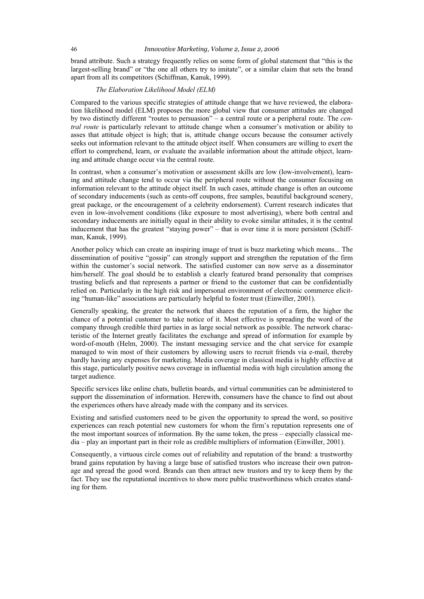brand attribute. Such a strategy frequently relies on some form of global statement that "this is the largest-selling brand" or "the one all others try to imitate", or a similar claim that sets the brand apart from all its competitors (Schiffman, Kanuk, 1999).

#### *The Elaboration Likelihood Model (ELM)*

Compared to the various specific strategies of attitude change that we have reviewed, the elaboration likelihood model (ELM) proposes the more global view that consumer attitudes are changed by two distinctly different "routes to persuasion" – a central route or a peripheral route. The *central route* is particularly relevant to attitude change when a consumer's motivation or ability to asses that attitude object is high; that is, attitude change occurs because the consumer actively seeks out information relevant to the attitude object itself. When consumers are willing to exert the effort to comprehend, learn, or evaluate the available information about the attitude object, learning and attitude change occur via the central route.

In contrast, when a consumer's motivation or assessment skills are low (low-involvement), learning and attitude change tend to occur via the peripheral route without the consumer focusing on information relevant to the attitude object itself. In such cases, attitude change is often an outcome of secondary inducements (such as cents-off coupons, free samples, beautiful background scenery, great package, or the encouragement of a celebrity endorsement). Current research indicates that even in low-involvement conditions (like exposure to most advertising), where both central and secondary inducements are initially equal in their ability to evoke similar attitudes, it is the central inducement that has the greatest "staying power" – that is over time it is more persistent (Schiffman, Kanuk, 1999).

Another policy which can create an inspiring image of trust is buzz marketing which means... The dissemination of positive "gossip" can strongly support and strengthen the reputation of the firm within the customer's social network. The satisfied customer can now serve as a disseminator him/herself. The goal should be to establish a clearly featured brand personality that comprises trusting beliefs and that represents a partner or friend to the customer that can be confidentially relied on. Particularly in the high risk and impersonal environment of electronic commerce eliciting "human-like" associations are particularly helpful to foster trust (Einwiller, 2001).

Generally speaking, the greater the network that shares the reputation of a firm, the higher the chance of a potential customer to take notice of it. Most effective is spreading the word of the company through credible third parties in as large social network as possible. The network characteristic of the Internet greatly facilitates the exchange and spread of information for example by word-of-mouth (Helm, 2000). The instant messaging service and the chat service for example managed to win most of their customers by allowing users to recruit friends via e-mail, thereby hardly having any expenses for marketing. Media coverage in classical media is highly effective at this stage, particularly positive news coverage in influential media with high circulation among the target audience.

Specific services like online chats, bulletin boards, and virtual communities can be administered to support the dissemination of information. Herewith, consumers have the chance to find out about the experiences others have already made with the company and its services.

Existing and satisfied customers need to be given the opportunity to spread the word, so positive experiences can reach potential new customers for whom the firm's reputation represents one of the most important sources of information. By the same token, the press – especially classical media – play an important part in their role as credible multipliers of information (Einwiller, 2001).

Consequently, a virtuous circle comes out of reliability and reputation of the brand: a trustworthy brand gains reputation by having a large base of satisfied trustors who increase their own patronage and spread the good word. Brands can then attract new trustors and try to keep them by the fact. They use the reputational incentives to show more public trustworthiness which creates standing for them.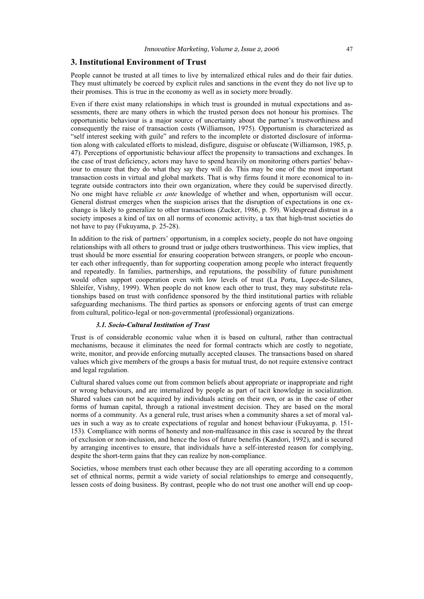#### **3. Institutional Environment of Trust**

People cannot be trusted at all times to live by internalized ethical rules and do their fair duties. They must ultimately be coerced by explicit rules and sanctions in the event they do not live up to their promises. This is true in the economy as well as in society more broadly.

Even if there exist many relationships in which trust is grounded in mutual expectations and assessments, there are many others in which the trusted person does not honour his promises. The opportunistic behaviour is a major source of uncertainty about the partner's trustworthiness and consequently the raise of transaction costs (Williamson, 1975). Opportunism is characterized as "self interest seeking with guile" and refers to the incomplete or distorted disclosure of information along with calculated efforts to mislead, disfigure, disguise or obfuscate (Williamson, 1985, p. 47). Perceptions of opportunistic behaviour affect the propensity to transactions and exchanges. In the case of trust deficiency, actors may have to spend heavily on monitoring others parties' behaviour to ensure that they do what they say they will do. This may be one of the most important transaction costs in virtual and global markets. That is why firms found it more economical to integrate outside contractors into their own organization, where they could be supervised directly. No one might have reliable *ex ante* knowledge of whether and when, opportunism will occur. General distrust emerges when the suspicion arises that the disruption of expectations in one exchange is likely to generalize to other transactions (Zucker, 1986, p. 59). Widespread distrust in a society imposes a kind of tax on all norms of economic activity, a tax that high-trust societies do not have to pay (Fukuyama, p. 25-28).

In addition to the risk of partners' opportunism, in a complex society, people do not have ongoing relationships with all others to ground trust or judge others trustworthiness. This view implies, that trust should be more essential for ensuring cooperation between strangers, or people who encounter each other infrequently, than for supporting cooperation among people who interact frequently and repeatedly. In families, partnerships, and reputations, the possibility of future punishment would often support cooperation even with low levels of trust (La Porta, Lopez-de-Silanes, Shleifer, Vishny, 1999). When people do not know each other to trust, they may substitute relationships based on trust with confidence sponsored by the third institutional parties with reliable safeguarding mechanisms. The third parties as sponsors or enforcing agents of trust can emerge from cultural, politico-legal or non-governmental (professional) organizations.

#### *3.1. Socio-Cultural Institution of Trust*

Trust is of considerable economic value when it is based on cultural, rather than contractual mechanisms, because it eliminates the need for formal contracts which are costly to negotiate, write, monitor, and provide enforcing mutually accepted clauses. The transactions based on shared values which give members of the groups a basis for mutual trust, do not require extensive contract and legal regulation.

Cultural shared values come out from common beliefs about appropriate or inappropriate and right or wrong behaviours, and are internalized by people as part of tacit knowledge in socialization. Shared values can not be acquired by individuals acting on their own, or as in the case of other forms of human capital, through a rational investment decision. They are based on the moral norms of a community. As a general rule, trust arises when a community shares a set of moral values in such a way as to create expectations of regular and honest behaviour (Fukuyama, p. 151- 153). Compliance with norms of honesty and non-malfeasance in this case is secured by the threat of exclusion or non-inclusion, and hence the loss of future benefits (Kandori, 1992), and is secured by arranging incentives to ensure, that individuals have a self-interested reason for complying, despite the short-term gains that they can realize by non-compliance.

Societies, whose members trust each other because they are all operating according to a common set of ethnical norms, permit a wide variety of social relationships to emerge and consequently, lessen costs of doing business. By contrast, people who do not trust one another will end up coop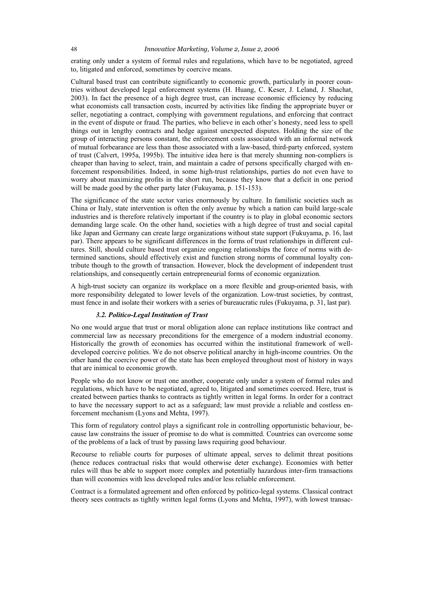erating only under a system of formal rules and regulations, which have to be negotiated, agreed to, litigated and enforced, sometimes by coercive means.

Cultural based trust can contribute significantly to economic growth, particularly in poorer countries without developed legal enforcement systems (H. Huang, C. Keser, J. Leland, J. Shachat, 2003). In fact the presence of a high degree trust, can increase economic efficiency by reducing what economists call transaction costs, incurred by activities like finding the appropriate buyer or seller, negotiating a contract, complying with government regulations, and enforcing that contract in the event of dispute or fraud. The parties, who believe in each other's honesty, need less to spell things out in lengthy contracts and hedge against unexpected disputes. Holding the size of the group of interacting persons constant, the enforcement costs associated with an informal network of mutual forbearance are less than those associated with a law-based, third-party enforced, system of trust (Calvert, 1995a, 1995b). The intuitive idea here is that merely shunning non-compliers is cheaper than having to select, train, and maintain a cadre of persons specifically charged with enforcement responsibilities. Indeed, in some high-trust relationships, parties do not even have to worry about maximizing profits in the short run, because they know that a deficit in one period will be made good by the other party later (Fukuyama, p. 151-153).

The significance of the state sector varies enormously by culture. In familistic societies such as China or Italy, state intervention is often the only avenue by which a nation can build large-scale industries and is therefore relatively important if the country is to play in global economic sectors demanding large scale. On the other hand, societies with a high degree of trust and social capital like Japan and Germany can create large organizations without state support (Fukuyama, p. 16, last par). There appears to be significant differences in the forms of trust relationships in different cultures. Still, should culture based trust organize ongoing relationships the force of norms with determined sanctions, should effectively exist and function strong norms of communal loyalty contribute though to the growth of transaction. However, block the development of independent trust relationships, and consequently certain entrepreneurial forms of economic organization.

A high-trust society can organize its workplace on a more flexible and group-oriented basis, with more responsibility delegated to lower levels of the organization. Low-trust societies, by contrast, must fence in and isolate their workers with a series of bureaucratic rules (Fukuyama, p. 31, last par).

#### *3.2. Politico-Legal Institution of Trust*

No one would argue that trust or moral obligation alone can replace institutions like contract and commercial law as necessary preconditions for the emergence of a modern industrial economy. Historically the growth of economies has occurred within the institutional framework of welldeveloped coercive polities. We do not observe political anarchy in high-income countries. On the other hand the coercive power of the state has been employed throughout most of history in ways that are inimical to economic growth.

People who do not know or trust one another, cooperate only under a system of formal rules and regulations, which have to be negotiated, agreed to, litigated and sometimes coerced. Here, trust is created between parties thanks to contracts as tightly written in legal forms. In order for a contract to have the necessary support to act as a safeguard; law must provide a reliable and costless enforcement mechanism (Lyons and Mehta, 1997).

This form of regulatory control plays a significant role in controlling opportunistic behaviour, because law constrains the issuer of promise to do what is committed. Countries can overcome some of the problems of a lack of trust by passing laws requiring good behaviour.

Recourse to reliable courts for purposes of ultimate appeal, serves to delimit threat positions (hence reduces contractual risks that would otherwise deter exchange). Economies with better rules will thus be able to support more complex and potentially hazardous inter-firm transactions than will economies with less developed rules and/or less reliable enforcement.

Contract is a formulated agreement and often enforced by politico-legal systems. Classical contract theory sees contracts as tightly written legal forms (Lyons and Mehta, 1997), with lowest transac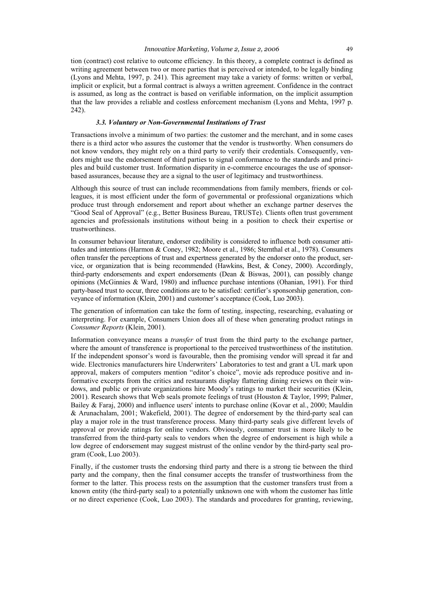tion (contract) cost relative to outcome efficiency. In this theory, a complete contract is defined as writing agreement between two or more parties that is perceived or intended, to be legally binding (Lyons and Mehta, 1997, p. 241). This agreement may take a variety of forms: written or verbal, implicit or explicit, but a formal contract is always a written agreement. Confidence in the contract is assumed, as long as the contract is based on verifiable information, on the implicit assumption that the law provides a reliable and costless enforcement mechanism (Lyons and Mehta, 1997 p. 242).

#### *3.3. Voluntary or Non-Governmental Institutions of Trust*

Transactions involve a minimum of two parties: the customer and the merchant, and in some cases there is a third actor who assures the customer that the vendor is trustworthy. When consumers do not know vendors, they might rely on a third party to verify their credentials. Consequently, vendors might use the endorsement of third parties to signal conformance to the standards and principles and build customer trust. Information disparity in e-commerce encourages the use of sponsorbased assurances, because they are a signal to the user of legitimacy and trustworthiness.

Although this source of trust can include recommendations from family members, friends or colleagues, it is most efficient under the form of governmental or professional organizations which produce trust through endorsement and report about whether an exchange partner deserves the "Good Seal of Approval" (e.g., Better Business Bureau, TRUSTe). Clients often trust government agencies and professionals institutions without being in a position to check their expertise or trustworthiness.

In consumer behaviour literature, endorser credibility is considered to influence both consumer attitudes and intentions (Harmon & Coney, 1982; Moore et al., 1986; Sternthal et al., 1978). Consumers often transfer the perceptions of trust and expertness generated by the endorser onto the product, service, or organization that is being recommended (Hawkins, Best, & Coney, 2000). Accordingly, third-party endorsements and expert endorsements (Dean & Biswas, 2001), can possibly change opinions (McGinnies & Ward, 1980) and influence purchase intentions (Ohanian, 1991). For third party-based trust to occur, three conditions are to be satisfied: certifier's sponsorship generation, conveyance of information (Klein, 2001) and customer's acceptance (Cook, Luo 2003).

The generation of information can take the form of testing, inspecting, researching, evaluating or interpreting. For example, Consumers Union does all of these when generating product ratings in *Consumer Reports* (Klein, 2001).

Information conveyance means a *transfer* of trust from the third party to the exchange partner, where the amount of transference is proportional to the perceived trustworthiness of the institution. If the independent sponsor's word is favourable, then the promising vendor will spread it far and wide. Electronics manufacturers hire Underwriters' Laboratories to test and grant a UL mark upon approval, makers of computers mention "editor's choice", movie ads reproduce positive and informative excerpts from the critics and restaurants display flattering dining reviews on their windows, and public or private organizations hire Moody's ratings to market their securities (Klein, 2001). Research shows that Web seals promote feelings of trust (Houston & Taylor, 1999; Palmer, Bailey & Faraj, 2000) and influence users' intents to purchase online (Kovar et al., 2000; Mauldin & Arunachalam, 2001; Wakefield, 2001). The degree of endorsement by the third-party seal can play a major role in the trust transference process. Many third-party seals give different levels of approval or provide ratings for online vendors. Obviously, consumer trust is more likely to be transferred from the third-party seals to vendors when the degree of endorsement is high while a low degree of endorsement may suggest mistrust of the online vendor by the third-party seal program (Cook, Luo 2003).

Finally, if the customer trusts the endorsing third party and there is a strong tie between the third party and the company, then the final consumer accepts the transfer of trustworthiness from the former to the latter. This process rests on the assumption that the customer transfers trust from a known entity (the third-party seal) to a potentially unknown one with whom the customer has little or no direct experience (Cook, Luo 2003). The standards and procedures for granting, reviewing,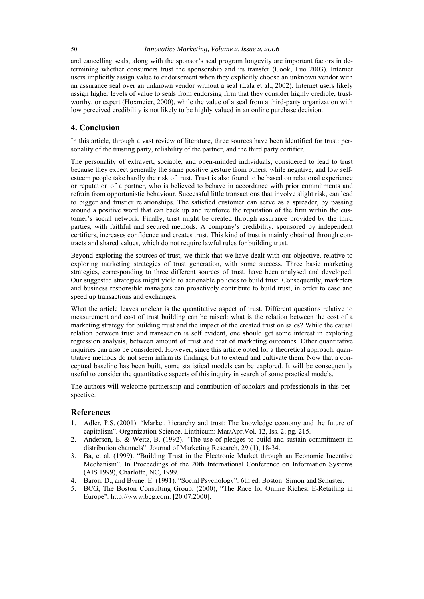and cancelling seals, along with the sponsor's seal program longevity are important factors in determining whether consumers trust the sponsorship and its transfer (Cook, Luo 2003). Internet users implicitly assign value to endorsement when they explicitly choose an unknown vendor with an assurance seal over an unknown vendor without a seal (Lala et al., 2002). Internet users likely assign higher levels of value to seals from endorsing firm that they consider highly credible, trustworthy, or expert (Hoxmeier, 2000), while the value of a seal from a third-party organization with low perceived credibility is not likely to be highly valued in an online purchase decision.

#### **4. Conclusion**

In this article, through a vast review of literature, three sources have been identified for trust: personality of the trusting party, reliability of the partner, and the third party certifier.

The personality of extravert, sociable, and open-minded individuals, considered to lead to trust because they expect generally the same positive gesture from others, while negative, and low selfesteem people take hardly the risk of trust. Trust is also found to be based on relational experience or reputation of a partner, who is believed to behave in accordance with prior commitments and refrain from opportunistic behaviour. Successful little transactions that involve slight risk, can lead to bigger and trustier relationships. The satisfied customer can serve as a spreader, by passing around a positive word that can back up and reinforce the reputation of the firm within the customer's social network. Finally, trust might be created through assurance provided by the third parties, with faithful and secured methods. A company's credibility, sponsored by independent certifiers, increases confidence and creates trust. This kind of trust is mainly obtained through contracts and shared values, which do not require lawful rules for building trust.

Beyond exploring the sources of trust, we think that we have dealt with our objective, relative to exploring marketing strategies of trust generation, with some success. Three basic marketing strategies, corresponding to three different sources of trust, have been analysed and developed. Our suggested strategies might yield to actionable policies to build trust. Consequently, marketers and business responsible managers can proactively contribute to build trust, in order to ease and speed up transactions and exchanges.

What the article leaves unclear is the quantitative aspect of trust. Different questions relative to measurement and cost of trust building can be raised: what is the relation between the cost of a marketing strategy for building trust and the impact of the created trust on sales? While the causal relation between trust and transaction is self evident, one should get some interest in exploring regression analysis, between amount of trust and that of marketing outcomes. Other quantitative inquiries can also be considered. However, since this article opted for a theoretical approach, quantitative methods do not seem infirm its findings, but to extend and cultivate them. Now that a conceptual baseline has been built, some statistical models can be explored. It will be consequently useful to consider the quantitative aspects of this inquiry in search of some practical models.

The authors will welcome partnership and contribution of scholars and professionals in this perspective.

#### **References**

- 1. Adler, P.S. (2001). "Market, hierarchy and trust: The knowledge economy and the future of capitalism". Organization Science. Linthicum: Mar/Apr.Vol. 12, Iss. 2; pg. 215.
- 2. Anderson, E. & Weitz, B. (1992). "The use of pledges to build and sustain commitment in distribution channels". Journal of Marketing Research, 29 (1), 18-34.
- 3. Ba, et al. (1999). "Building Trust in the Electronic Market through an Economic Incentive Mechanism". In Proceedings of the 20th International Conference on Information Systems (AIS 1999), Charlotte, NC, 1999.
- 4. Baron, D., and Byrne. E. (1991). "Social Psychology". 6th ed. Boston: Simon and Schuster.
- 5. BCG, The Boston Consulting Group. (2000), "The Race for Online Riches: E-Retailing in Europe". http://www.bcg.com. [20.07.2000].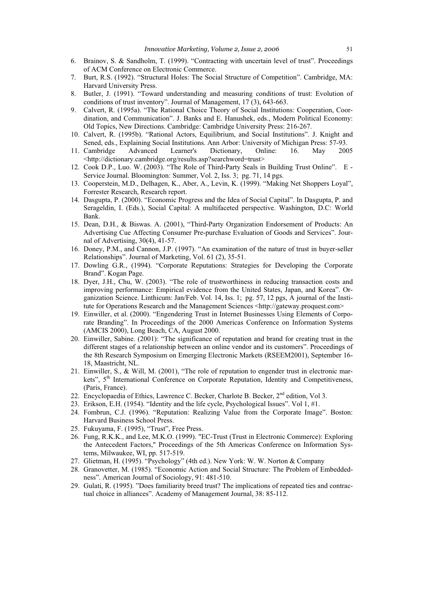- 6. Brainov, S. & Sandholm, T. (1999). "Contracting with uncertain level of trust". Proceedings of ACM Conference on Electronic Commerce.
- 7. Burt, R.S. (1992). "Structural Holes: The Social Structure of Competition". Cambridge, MA: Harvard University Press.
- 8. Butler, J. (1991). "Toward understanding and measuring conditions of trust: Evolution of conditions of trust inventory". Journal of Management, 17 (3), 643-663.
- 9. Calvert, R. (1995a). "The Rational Choice Theory of Social Institutions: Cooperation, Coordination, and Communication". J. Banks and E. Hanushek, eds., Modern Political Economy: Old Topics, New Directions. Cambridge: Cambridge University Press: 216-267.
- 10. Calvert, R. (1995b). "Rational Actors, Equilibrium, and Social Institutions". J. Knight and Sened, eds., Explaining Social Institutions. Ann Arbor: University of Michigan Press: 57-93.
- 11. Cambridge Advanced Learner's Dictionary, Online: 16. May 2005 <http://dictionary.cambridge.org/results.asp?searchword=trust>
- 12. Cook D.P., Luo. W. (2003). "The Role of Third-Party Seals in Building Trust Online". E Service Journal. Bloomington: Summer, Vol. 2, Iss. 3; pg. 71, 14 pgs.
- 13. Cooperstein, M.D., Delhagen, K., Aber, A., Levin, K. (1999). "Making Net Shoppers Loyal", Forrester Research, Research report.
- 14. Dasgupta, P. (2000). "Economic Progress and the Idea of Social Capital". In Dasgupta, P. and Serageldin, I. (Eds.), Social Capital: A multifaceted perspective. Washington, D.C: World Bank.
- 15. Dean, D.H., & Biswas. A. (2001), "Third-Party Organization Endorsement of Products: An Advertising Cue Affecting Consumer Pre-purchase Evaluation of Goods and Services". Journal of Advertising, 30(4), 41-57.
- 16. Doney, P.M., and Cannon, J.P. (1997). "An examination of the nature of trust in buyer-seller Relationships". Journal of Marketing, Vol. 61 (2), 35-51.
- 17. Dowling G.R., (1994). "Corporate Reputations: Strategies for Developing the Corporate Brand". Kogan Page.
- 18. Dyer, J.H., Chu, W. (2003). "The role of trustworthiness in reducing transaction costs and improving performance: Empirical evidence from the United States, Japan, and Korea". Organization Science. Linthicum: Jan/Feb. Vol. 14, Iss. 1; pg. 57, 12 pgs, A journal of the Institute for Operations Research and the Management Sciences <http://gateway.proquest.com>
- 19. Einwiller, et al. (2000). "Engendering Trust in Internet Businesses Using Elements of Corporate Branding". In Proceedings of the 2000 Americas Conference on Information Systems (AMCIS 2000), Long Beach, CA, August 2000.
- 20. Einwiller, Sabine. (2001): "The significance of reputation and brand for creating trust in the different stages of a relationship between an online vendor and its customers". Proceedings of the 8th Research Symposium on Emerging Electronic Markets (RSEEM2001), September 16- 18, Maastricht, NL.
- 21. Einwiller, S., & Will, M. (2001), "The role of reputation to engender trust in electronic markets", 5<sup>th</sup> International Conference on Corporate Reputation, Identity and Competitiveness, (Paris, France).
- 22. Encyclopaedia of Ethics, Lawrence C. Becker, Charlote B. Becker, 2<sup>nd</sup> edition, Vol 3.
- 23. Erikson, E.H. (1954). "Identity and the life cycle, Psychological Issues". Vol 1, #1.
- 24. Fombrun, C.J. (1996). "Reputation: Realizing Value from the Corporate Image". Boston: Harvard Business School Press.
- 25. Fukuyama, F. (1995), "Trust", Free Press.
- 26. Fung, R.K.K., and Lee, M.K.O. (1999). "EC-Trust (Trust in Electronic Commerce): Exploring the Antecedent Factors," Proceedings of the 5th Americas Conference on Information Systems, Milwaukee, WI, pp. 517-519.
- 27. Glietman, H. (1995). "Psychology" (4th ed.). New York: W. W. Norton & Company
- 28. Granovetter, M. (1985). "Economic Action and Social Structure: The Problem of Embeddedness". American Journal of Sociology, 91: 481-510.
- 29. Gulati, R. (1995). "Does familiarity breed trust? The implications of repeated ties and contractual choice in alliances". Academy of Management Journal, 38: 85-112.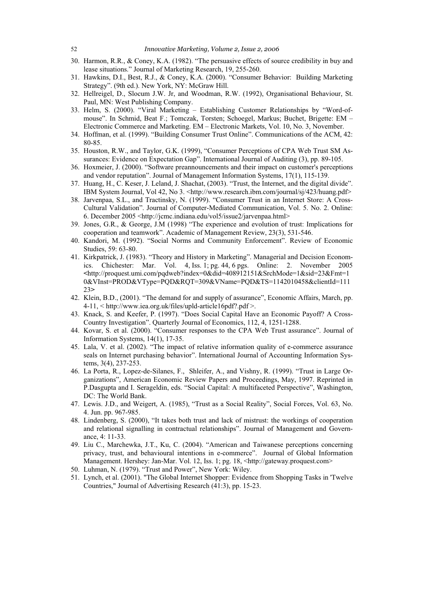- 30. Harmon, R.R., & Coney, K.A. (1982). "The persuasive effects of source credibility in buy and lease situations." Journal of Marketing Research, 19, 255-260.
- 31. Hawkins, D.I., Best, R.J., & Coney, K.A. (2000). "Consumer Behavior: Building Marketing Strategy". (9th ed.). New York, NY: McGraw Hill.
- 32. Hellreigel, D., Slocum J.W. Jr, and Woodman, R.W. (1992), Organisational Behaviour, St. Paul, MN: West Publishing Company.
- 33. Helm, S. (2000). "Viral Marketing Establishing Customer Relationships by "Word-ofmouse". In Schmid, Beat F.; Tomczak, Torsten; Schoegel, Markus; Buchet, Brigette: EM – Electronic Commerce and Marketing. EM – Electronic Markets, Vol. 10, No. 3, November.
- 34. Hoffman, et al. (1999). "Building Consumer Trust Online". Communications of the ACM, 42: 80-85.
- 35. Houston, R.W., and Taylor, G.K. (1999), "Consumer Perceptions of CPA Web Trust SM Assurances: Evidence on Expectation Gap". International Journal of Auditing (3), pp. 89-105.
- 36. Hoxmeier, J. (2000). "Software preannouncements and their impact on customer's perceptions and vendor reputation". Journal of Management Information Systems, 17(1), 115-139.
- 37. Huang, H., C. Keser, J. Leland, J. Shachat, (2003). "Trust, the Internet, and the digital divide". IBM System Journal, Vol 42, No 3. <http://www.research.ibm.com/journal/sj/423/huang.pdf>
- 38. Jarvenpaa, S.L., and Tractinsky, N. (1999). "Consumer Trust in an Internet Store: A Cross-Cultural Validation". Journal of Computer-Mediated Communication, Vol. 5. No. 2. Online: 6. December 2005 <http://jcmc.indiana.edu/vol5/issue2/jarvenpaa.html>
- 39. Jones, G.R., & George, J.M (1998) "The experience and evolution of trust: Implications for cooperation and teamwork". Academic of Management Review, 23(3), 531-546.
- 40. Kandori, M. (1992). "Social Norms and Community Enforcement". Review of Economic Studies, 59: 63-80.
- 41. Kirkpatrick, J. (1983). "Theory and History in Marketing". Managerial and Decision Economics. Chichester: Mar. Vol. 4, Iss. 1; pg. 44, 6 pgs. Online: 2. November 2005 **<**http://proquest.umi.com/pqdweb?index=0&did=408912151&SrchMode=1&sid=23&Fmt=1 0&VInst=PROD&VType=PQD&RQT=309&VName=PQD&TS=1142010458&clientId=111 23**>**
- 42. Klein, B.D., (2001). "The demand for and supply of assurance", Economic Affairs, March, pp. 4-11, < http://www.iea.org.uk/files/upld-article16pdf?.pdf >.
- 43. Knack, S. and Keefer, P. (1997). "Does Social Capital Have an Economic Payoff? A Cross-Country Investigation". Quarterly Journal of Economics, 112, 4, 1251-1288.
- 44. Kovar, S. et al. (2000). "Consumer responses to the CPA Web Trust assurance". Journal of Information Systems, 14(1), 17-35.
- 45. Lala, V. et al. (2002). "The impact of relative information quality of e-commerce assurance seals on Internet purchasing behavior". International Journal of Accounting Information Systems, 3(4), 237-253.
- 46. La Porta, R., Lopez-de-Silanes, F., Shleifer, A., and Vishny, R. (1999). "Trust in Large Organizations", American Economic Review Papers and Proceedings, May, 1997. Reprinted in P.Dasgupta and I. Serageldin, eds. "Social Capital: A multifaceted Perspective", Washington, DC: The World Bank.
- 47. Lewis. J.D., and Weigert, A. (1985), "Trust as a Social Reality", Social Forces, Vol. 63, No. 4. Jun. pp. 967-985.
- 48. Lindenberg, S. (2000), "It takes both trust and lack of mistrust: the workings of cooperation and relational signalling in contractual relationships". Journal of Management and Governance, 4: 11-33.
- 49. Liu C., Marchewka, J.T., Ku, C. (2004). "American and Taiwanese perceptions concerning privacy, trust, and behavioural intentions in e-commerce". Journal of Global Information Management. Hershey: Jan-Mar. Vol. 12, Iss. 1; pg. 18, <http://gateway.proquest.com>
- 50. Luhman, N. (1979). "Trust and Power", New York: Wiley.
- 51. Lynch, et al. (2001). "The Global Internet Shopper: Evidence from Shopping Tasks in 'Twelve Countries," Journal of Advertising Research (41:3), pp. 15-23.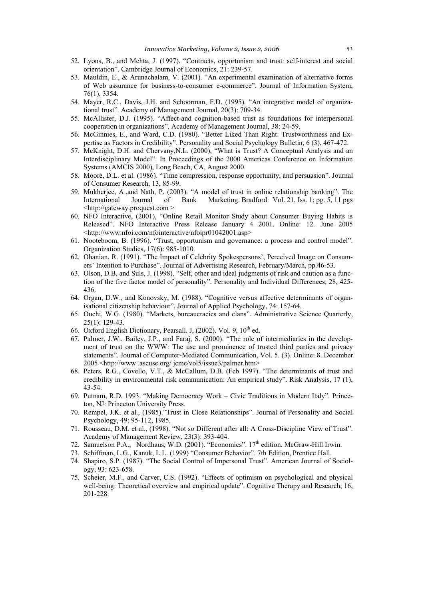- 52. Lyons, B., and Mehta, J. (1997). "Contracts, opportunism and trust: self-interest and social orientation". Cambridge Journal of Economics, 21: 239-57.
- 53. Mauldin, E., & Arunachalam, V. (2001). "An experimental examination of alternative forms of Web assurance for business-to-consumer e-commerce". Journal of Information System, 76(1), 3354.
- 54. Mayer, R.C., Davis, J.H. and Schoorman, F.D. (1995). "An integrative model of organizational trust". Academy of Management Journal, 20(3): 709-34.
- 55. McAllister, D.J. (1995). "Affect-and cognition-based trust as foundations for interpersonal cooperation in organizations". Academy of Management Journal, 38: 24-59.
- 56. McGinnies, E., and Ward, C.D. (1980). "Better Liked Than Right: Trustworthiness and Expertise as Factors in Credibility". Personality and Social Psychology Bulletin, 6 (3), 467-472.
- 57. McKnight, D.H. and Chervany,N.L. (2000), "What is Trust? A Conceptual Analysis and an Interdisciplinary Model". In Proceedings of the 2000 Americas Conference on Information Systems (AMCIS 2000), Long Beach, CA, August 2000.
- 58. Moore, D.L. et al. (1986). "Time compression, response opportunity, and persuasion". Journal of Consumer Research, 13, 85-99.
- 59. Mukherjee, A.,and Nath, P. (2003). "A model of trust in online relationship banking". The International Journal of Bank Marketing. Bradford: Vol. 21, Iss. 1; pg. 5, 11 pgs <http://gateway.proquest.com >
- 60. NFO Interactive, (2001), "Online Retail Monitor Study about Consumer Buying Habits is Released". NFO Interactive Press Release January 4 2001. Online: 12. June 2005 <http://www.nfoi.com/nfointeractive/nfoipr01042001.asp>
- 61. Nooteboom, B. (1996). "Trust, opportunism and governance: a process and control model". Organization Studies, 17(6): 985-1010.
- 62. Ohanian, R. (1991). "The Impact of Celebrity Spokespersons', Perceived Image on Consumers' Intention to Purchase". Journal of Advertising Research, February/March, pp.46-53.
- 63. Olson, D.B. and Suls, J. (1998). "Self, other and ideal judgments of risk and caution as a function of the five factor model of personality". Personality and Individual Differences, 28, 425- 436.
- 64. Organ, D.W., and Konovsky, M. (1988). "Cognitive versus affective determinants of organisational citizenship behaviour". Journal of Applied Psychology, 74: 157-64.
- 65. Ouchi, W.G. (1980). "Markets, bureaucracies and clans". Administrative Science Quarterly, 25(1): 129-43.
- 66. Oxford English Dictionary, Pearsall. J, (2002). Vol. 9, 10<sup>th</sup> ed.
- 67. Palmer, J.W., Bailey, J.P., and Faraj, S. (2000). "The role of intermediaries in the development of trust on the WWW: The use and prominence of trusted third parties and privacy statements". Journal of Computer-Mediated Communication, Vol. 5. (3). Online: 8. December 2005 <http://www .ascusc.org/ jcmc/vol5/issue3/palmer.htm>
- 68. Peters, R.G., Covello, V.T., & McCallum, D.B. (Feb 1997). "The determinants of trust and credibility in environmental risk communication: An empirical study". Risk Analysis, 17 (1), 43-54.
- 69. Putnam, R.D. 1993. "Making Democracy Work Civic Traditions in Modern Italy". Princeton, NJ: Princeton University Press.
- 70. Rempel, J.K. et al., (1985)."Trust in Close Relationships". Journal of Personality and Social Psychology, 49: 95-112, 1985.
- 71. Rousseau, D.M. et al., (1998). "Not so Different after all: A Cross-Discipline View of Trust". Academy of Management Review, 23(3): 393-404.
- 72. Samuelson P.A., Nordhaus, W.D. (2001). "Economics". 17<sup>th</sup> edition. McGraw-Hill Irwin.
- 73. Schiffman, L.G., Kanuk, L.L. (1999) "Consumer Behavior". 7th Edition, Prentice Hall.
- 74. Shapiro, S.P. (1987). "The Social Control of Impersonal Trust". American Journal of Sociology, 93: 623-658.
- 75. Scheier, M.F., and Carver, C.S. (1992). "Effects of optimism on psychological and physical well-being: Theoretical overview and empirical update". Cognitive Therapy and Research, 16, 201-228.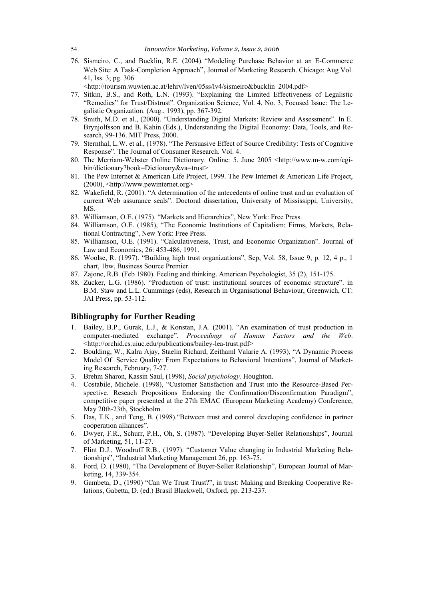76. Sismeiro, C., and Bucklin, R.E. (2004). "Modeling Purchase Behavior at an E-Commerce Web Site: A Task-Completion Approach", Journal of Marketing Research. Chicago: Aug Vol. 41, Iss. 3; pg. 306

<http://tourism.wuwien.ac.at/lehrv/lven/05ss/lv4/sismeiro&bucklin\_2004.pdf>

- 77. Sitkin, B.S., and Roth, L.N. (1993). "Explaining the Limited Effectiveness of Legalistic "Remedies" for Trust/Distrust". Organization Science, Vol. 4, No. 3, Focused Issue: The Legalistic Organization. (Aug., 1993), pp. 367-392.
- 78. Smith, M.D. et al., (2000). "Understanding Digital Markets: Review and Assessment". In E. Brynjolfsson and B. Kahin (Eds.), Understanding the Digital Economy: Data, Tools, and Research, 99-136. MIT Press, 2000.
- 79. Sternthal, L.W. et al., (1978). "The Persuasive Effect of Source Credibility: Tests of Cognitive Response". The Journal of Consumer Research. Vol. 4.
- 80. The Merriam-Webster Online Dictionary. Online: 5. June 2005 <http://www.m-w.com/cgibin/dictionary?book=Dictionary&va=trust>
- 81. The Pew Internet & American Life Project, 1999. The Pew Internet & American Life Project, (2000), <http://www.pewinternet.org>
- 82. Wakefield, R. (2001). "A determination of the antecedents of online trust and an evaluation of current Web assurance seals". Doctoral dissertation, University of Mississippi, University, MS.
- 83. Williamson, O.E. (1975). "Markets and Hierarchies", New York: Free Press.
- 84. Williamson, O.E. (1985), "The Economic Institutions of Capitalism: Firms, Markets, Relational Contracting", New York: Free Press.
- 85. Williamson, O.E. (1991). "Calculativeness, Trust, and Economic Organization". Journal of Law and Economics, 26: 453-486, 1991.
- 86. Woolse, R. (1997). "Building high trust organizations", Sep, Vol. 58, Issue 9, p. 12, 4 p., 1 chart, 1bw, Business Source Premier.
- 87. Zajonc, R.B. (Feb 1980). Feeling and thinking. American Psychologist, 35 (2), 151-175.
- 88. Zucker, L.G. (1986). "Production of trust: institutional sources of economic structure". in B.M. Staw and L.L. Cummings (eds), Research in Organisational Behaviour, Greenwich, CT: JAI Press, pp. 53-112.

#### **Bibliography for Further Reading**

- 1. Bailey, B.P., Gurak, L.J., & Konstan, J.A. (2001). "An examination of trust production in computer-mediated exchange". *Proceedings of Human Factors and the Web*. <http://orchid.cs.uiuc.edu/publications/bailey-lea-trust.pdf>
- 2. Boulding, W., Kalra Ajay, Staelin Richard, Zeithaml Valarie A. (1993), "A Dynamic Process Model Of Service Quality: From Expectations to Behavioral Intentions", Journal of Marketing Research, February, 7-27.
- 3. Brehm Sharon, Kassin Saul, (1998), *Social psychology.* Houghton.
- 4. Costabile, Michele. (1998), "Customer Satisfaction and Trust into the Resource-Based Perspective. Reseach Propositions Endorsing the Confirmation/Disconfirmation Paradigm", competitive paper presented at the 27th EMAC (European Marketing Academy) Conference, May 20th-23th, Stockholm.
- 5. Das, T.K., and Teng, B. (1998)."Between trust and control developing confidence in partner cooperation alliances".
- 6. Dwyer, F.R., Schurr, P.H., Oh, S. (1987). "Developing Buyer-Seller Relationships", Journal of Marketing, 51, 11-27.
- 7. Flint D.J., Woodruff R.B., (1997). "Customer Value changing in Industrial Marketing Relationships", "Industrial Marketing Management 26, pp. 163-75.
- 8. Ford, D. (1980), "The Development of Buyer-Seller Relationship", European Journal of Marketing, 14, 339-354.
- 9. Gambeta, D., (1990) "Can We Trust Trust?", in trust: Making and Breaking Cooperative Relations, Gabetta, D. (ed.) Brasil Blackwell, Oxford, pp. 213-237.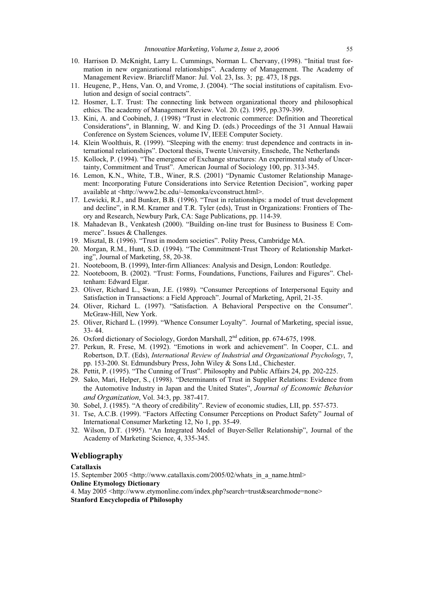- 10. Harrison D. McKnight, Larry L. Cummings, Norman L. Chervany, (1998). "Initial trust formation in new organizational relationships". Academy of Management. The Academy of Management Review. Briarcliff Manor: Jul. Vol. 23, Iss. 3; pg. 473, 18 pgs.
- 11. Heugene, P., Hens, Van. O, and Vrome, J. (2004). "The social institutions of capitalism. Evolution and design of social contracts".
- 12. Hosmer, L.T. Trust: The connecting link between organizational theory and philosophical ethics. The academy of Management Review. Vol. 20. (2). 1995, pp.379-399.
- 13. Kini, A. and Coobineh, J. (1998) "Trust in electronic commerce: Definition and Theoretical Considerations", in Blanning, W. and King D. (eds.) Proceedings of the 31 Annual Hawaii Conference on System Sciences, volume IV, IEEE Computer Society.
- 14. Klein Woolthuis, R. (1999). "Sleeping with the enemy: trust dependence and contracts in international relationships". Doctoral thesis, Twente University, Enschede, The Netherlands
- 15. Kollock, P. (1994). "The emergence of Exchange structures: An experimental study of Uncertainty, Commitment and Trust". American Journal of Sociology 100, pp. 313-345.
- 16. Lemon, K.N., White, T.B., Winer, R.S. (2001) "Dynamic Customer Relationship Management: Incorporating Future Considerations into Service Retention Decision", working paper available at <http://www2.bc.edu/~lemonka/cvconstruct.html>.
- 17. Lewicki, R.J., and Bunker, B.B. (1996). "Trust in relationships: a model of trust development and decline", in R.M. Kramer and T.R. Tyler (eds), Trust in Organizations: Frontiers of Theory and Research, Newbury Park, CA: Sage Publications, pp. 114-39.
- 18. Mahadevan B., Venkatesh (2000). "Building on-line trust for Business to Business E Commerce". Issues & Challenges.
- 19. Misztal, B. (1996). "Trust in modern societies". Polity Press, Cambridge MA.
- 20. Morgan, R.M., Hunt, S.D. (1994). "The Commitment-Trust Theory of Relationship Marketing", Journal of Marketing, 58, 20-38.
- 21. Nooteboom, B. (1999), Inter-firm Alliances: Analysis and Design, London: Routledge.
- 22. Nooteboom, B. (2002). "Trust: Forms, Foundations, Functions, Failures and Figures". Cheltenham: Edward Elgar.
- 23. Oliver, Richard L., Swan, J.E. (1989). "Consumer Perceptions of Interpersonal Equity and Satisfaction in Transactions: a Field Approach". Journal of Marketing, April, 21-35.
- 24. Oliver, Richard L. (1997). "Satisfaction. A Behavioral Perspective on the Consumer". McGraw-Hill, New York.
- 25. Oliver, Richard L. (1999). "Whence Consumer Loyalty". Journal of Marketing, special issue, 33- 44.
- 26. Oxford dictionary of Sociology, Gordon Marshall, 2nd edition, pp. 674-675, 1998.
- 27. Perkun, R. Frese, M. (1992). "Emotions in work and achievement". In Cooper, C.L. and Robertson, D.T. (Eds), *International Review of Industrial and Organizational Psychology*, 7, pp. 153-200. St. Edmundsbury Press, John Wiley & Sons Ltd., Chichester.
- 28. Pettit, P. (1995). "The Cunning of Trust". Philosophy and Public Affairs 24, pp. 202-225.
- 29. Sako, Mari, Helper, S., (1998). "Determinants of Trust in Supplier Relations: Evidence from the Automotive Industry in Japan and the United States", *Journal of Economic Behavior and Organization*, Vol. 34:3, pp. 387-417.
- 30. Sobel, J. (1985). "A theory of credibility". Review of economic studies, LII, pp. 557-573.
- 31. Tse, A.C.B. (1999). "Factors Affecting Consumer Perceptions on Product Safety" Journal of International Consumer Marketing 12, No 1, pp. 35-49.
- 32. Wilson, D.T. (1995). "An Integrated Model of Buyer-Seller Relationship", Journal of the Academy of Marketing Science, 4, 335-345.

#### **Webliography**

#### **Catallaxis**

15. September 2005 <http://www.catallaxis.com/2005/02/whats\_in\_a\_name.html> **Online Etymology Dictionary** 

4. May 2005 <http://www.etymonline.com/index.php?search=trust&searchmode=none> **Stanford Encyclopedia of Philosophy**